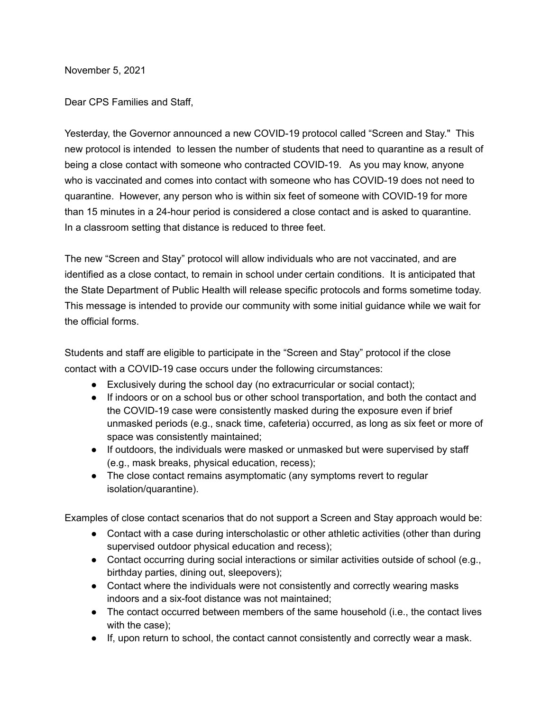November 5, 2021

Dear CPS Families and Staff,

Yesterday, the Governor announced a new COVID-19 protocol called "Screen and Stay." This new protocol is intended to lessen the number of students that need to quarantine as a result of being a close contact with someone who contracted COVID-19. As you may know, anyone who is vaccinated and comes into contact with someone who has COVID-19 does not need to quarantine. However, any person who is within six feet of someone with COVID-19 for more than 15 minutes in a 24-hour period is considered a close contact and is asked to quarantine. In a classroom setting that distance is reduced to three feet.

The new "Screen and Stay" protocol will allow individuals who are not vaccinated, and are identified as a close contact, to remain in school under certain conditions. It is anticipated that the State Department of Public Health will release specific protocols and forms sometime today. This message is intended to provide our community with some initial guidance while we wait for the official forms.

Students and staff are eligible to participate in the "Screen and Stay" protocol if the close contact with a COVID-19 case occurs under the following circumstances:

- Exclusively during the school day (no extracurricular or social contact);
- If indoors or on a school bus or other school transportation, and both the contact and the COVID-19 case were consistently masked during the exposure even if brief unmasked periods (e.g., snack time, cafeteria) occurred, as long as six feet or more of space was consistently maintained;
- If outdoors, the individuals were masked or unmasked but were supervised by staff (e.g., mask breaks, physical education, recess);
- The close contact remains asymptomatic (any symptoms revert to regular isolation/quarantine).

Examples of close contact scenarios that do not support a Screen and Stay approach would be:

- Contact with a case during interscholastic or other athletic activities (other than during supervised outdoor physical education and recess);
- Contact occurring during social interactions or similar activities outside of school (e.g., birthday parties, dining out, sleepovers);
- Contact where the individuals were not consistently and correctly wearing masks indoors and a six-foot distance was not maintained;
- The contact occurred between members of the same household (i.e., the contact lives with the case);
- If, upon return to school, the contact cannot consistently and correctly wear a mask.